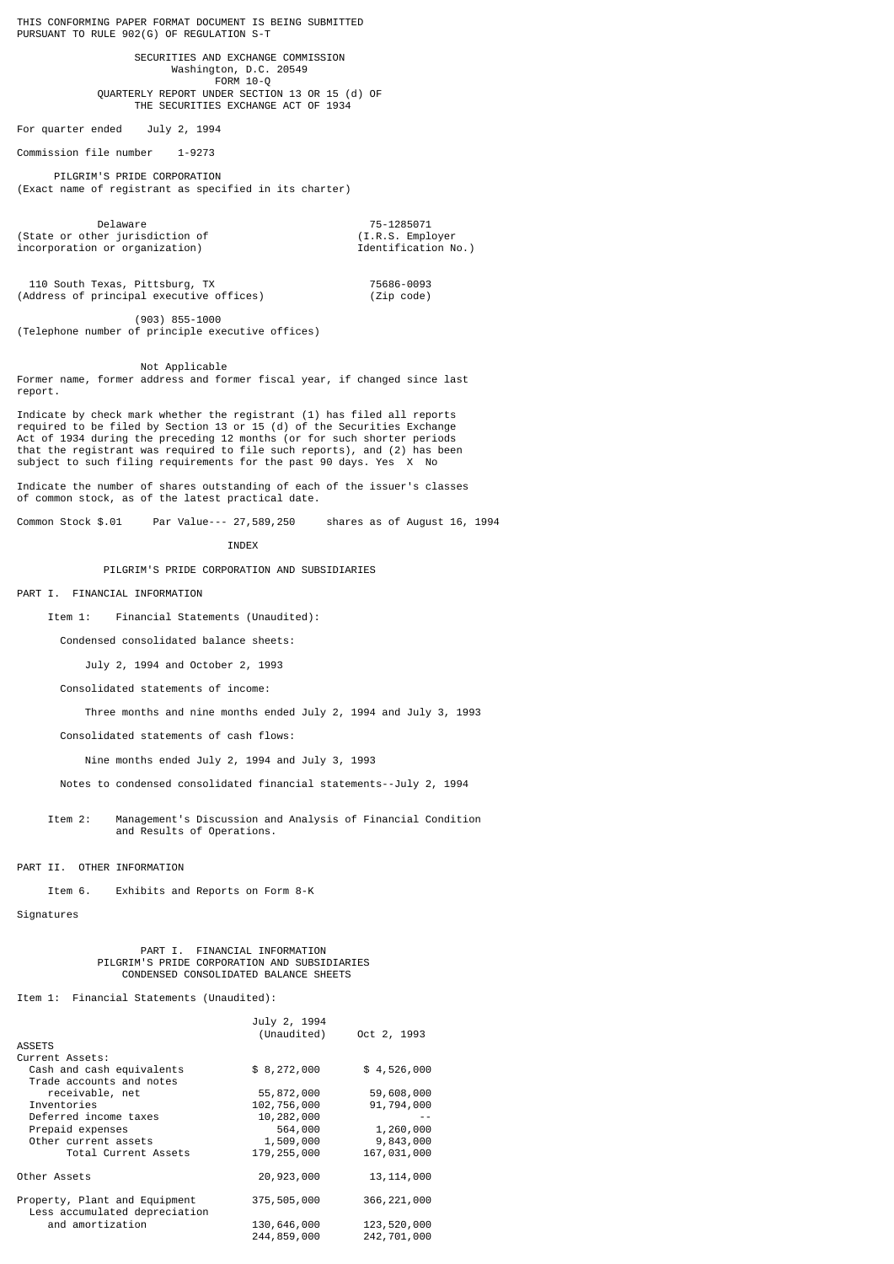THIS CONFORMING PAPER FORMAT DOCUMENT IS BEING SUBMITTED PURSUANT TO RULE 902(G) OF REGULATION S-T

 SECURITIES AND EXCHANGE COMMISSION Washington, D.C. 20549 FORM 10-Q QUARTERLY REPORT UNDER SECTION 13 OR 15 (d) OF THE SECURITIES EXCHANGE ACT OF 1934

For quarter ended July 2, 1994

Commission file number 1-9273

 PILGRIM'S PRIDE CORPORATION (Exact name of registrant as specified in its charter)

Delaware 75-1285071 (State or other jurisdiction of (I.R.S. Employer incorporation or organization) Identification No.)

110 South Texas, Pittsburg, TX<br>Address of principal executive offices) (2ip code)  $(Address of principal executive offices)$ 

 (903) 855-1000 (Telephone number of principle executive offices)

 Not Applicable Former name, former address and former fiscal year, if changed since last report.

Indicate by check mark whether the registrant (1) has filed all reports required to be filed by Section 13 or 15 (d) of the Securities Exchange Act of 1934 during the preceding 12 months (or for such shorter periods that the registrant was required to file such reports), and (2) has been subject to such filing requirements for the past 90 days. Yes X No

Indicate the number of shares outstanding of each of the issuer's classes of common stock, as of the latest practical date.

Common Stock \$.01 Par Value--- 27,589,250 shares as of August 16, 1994

**INDEX** 

PILGRIM'S PRIDE CORPORATION AND SUBSIDIARIES

PART I. FINANCIAL INFORMATION

Item 1: Financial Statements (Unaudited):

Condensed consolidated balance sheets:

July 2, 1994 and October 2, 1993

Consolidated statements of income:

Three months and nine months ended July 2, 1994 and July 3, 1993

Consolidated statements of cash flows:

Nine months ended July 2, 1994 and July 3, 1993

Notes to condensed consolidated financial statements--July 2, 1994

 Item 2: Management's Discussion and Analysis of Financial Condition and Results of Operations.

PART II. OTHER INFORMATION

Item 6. Exhibits and Reports on Form 8-K

Signatures

 PART I. FINANCIAL INFORMATION PILGRIM'S PRIDE CORPORATION AND SUBSIDIARIES CONDENSED CONSOLIDATED BALANCE SHEETS

Item 1: Financial Statements (Unaudited):

| <b>ASSETS</b>                                                  | July 2, 1994<br>(Unaudited) | Oct 2, 1993   |
|----------------------------------------------------------------|-----------------------------|---------------|
| Current Assets:                                                |                             |               |
| Cash and cash equivalents<br>Trade accounts and notes          | \$8,272,000                 | \$4,526,000   |
| receivable, net                                                | 55,872,000                  | 59,608,000    |
| Inventories                                                    | 102,756,000                 | 91,794,000    |
| Deferred income taxes                                          | 10,282,000                  |               |
| Prepaid expenses                                               | 564,000                     | 1,260,000     |
| Other current assets                                           | 1,509,000                   | 9,843,000     |
| Total Current Assets                                           | 179, 255, 000               | 167,031,000   |
| Other Assets                                                   | 20,923,000                  | 13, 114, 000  |
| Property, Plant and Equipment<br>Less accumulated depreciation | 375,505,000                 | 366, 221, 000 |
| and amortization                                               | 130,646,000                 | 123,520,000   |
|                                                                | 244,859,000                 | 242,701,000   |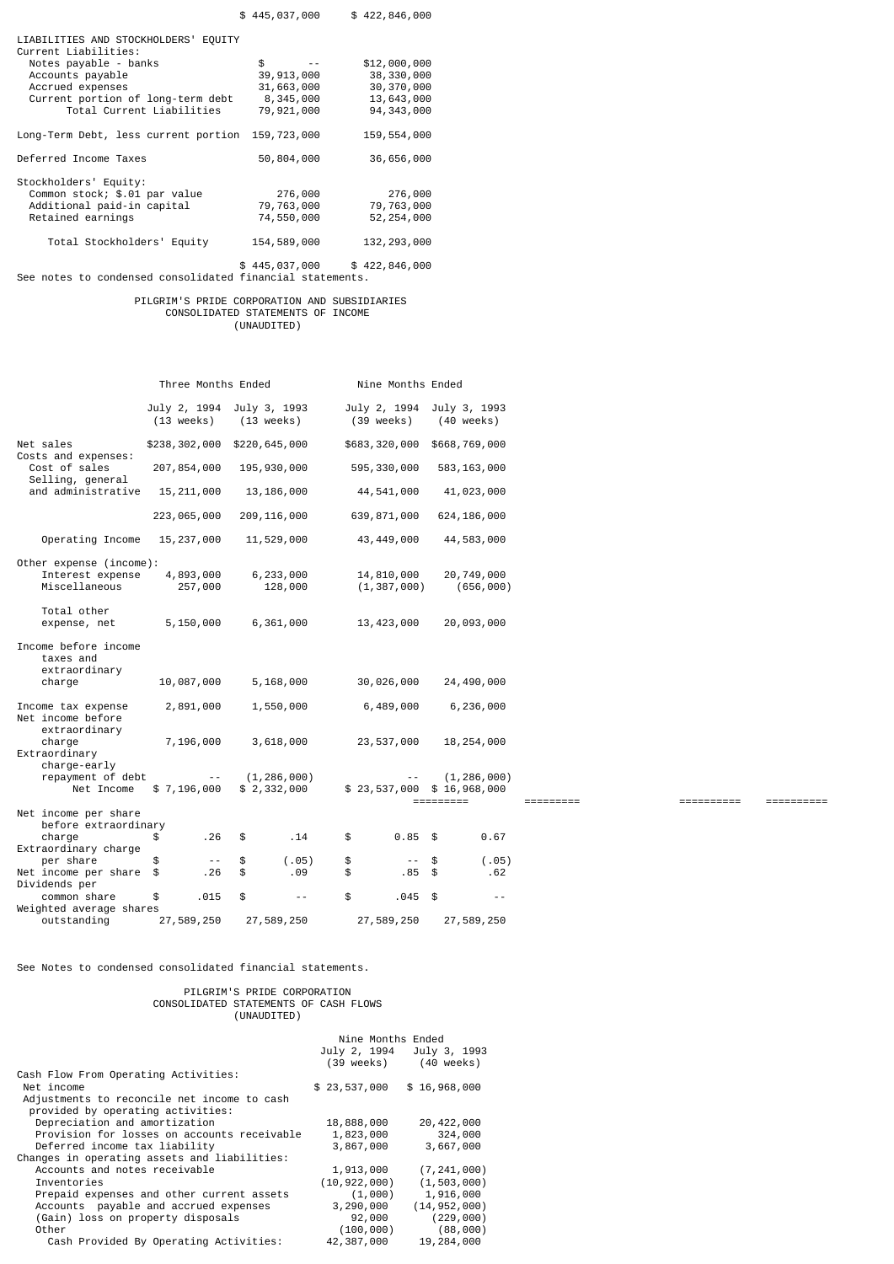|                                                              | \$445,037,000 | \$422,846,000 |
|--------------------------------------------------------------|---------------|---------------|
| LIABILITIES AND STOCKHOLDERS' EQUITY<br>Current Liabilities: |               |               |
| Notes payable - banks                                        | \$            | \$12,000,000  |
| Accounts payable                                             | 39, 913, 000  | 38, 330, 000  |
| Accrued expenses                                             | 31,663,000    | 30,370,000    |
| Current portion of long-term debt                            | 8,345,000     | 13,643,000    |
| Total Current Liabilities                                    | 79,921,000    | 94, 343, 000  |
| Long-Term Debt, less current portion                         | 159,723,000   | 159,554,000   |
| Deferred Income Taxes                                        | 50,804,000    | 36,656,000    |
| Stockholders' Equity:                                        |               |               |
| Common stock; \$.01 par value                                | 276,000       | 276,000       |
| Additional paid-in capital                                   | 79,763,000    | 79,763,000    |
| Retained earnings                                            | 74,550,000    | 52, 254, 000  |
| Total Stockholders' Equity                                   | 154,589,000   | 132, 293, 000 |
|                                                              |               |               |

\$ 445,037,000 \$ 422,846,000 See notes to condensed consolidated financial statements.

# PILGRIM'S PRIDE CORPORATION AND SUBSIDIARIES CONSOLIDATED STATEMENTS OF INCOME (UNAUDITED)

| $\sqrt{2}$ |  |
|------------|--|
|            |  |
|            |  |
|            |  |

|                                                              | Three Months Ended                   |                                      | Nine Months Ended          |                                                           |              |            |            |
|--------------------------------------------------------------|--------------------------------------|--------------------------------------|----------------------------|-----------------------------------------------------------|--------------|------------|------------|
|                                                              | July 2, 1994<br>$(13 \text{ weeks})$ | July 3, 1993<br>$(13 \text{ weeks})$ | July 2, 1994<br>(39 weeks) | July 3, 1993<br>(40 weeks)                                |              |            |            |
| Net sales                                                    | \$238,302,000                        | \$220,645,000                        | \$683,320,000              | \$668,769,000                                             |              |            |            |
| Costs and expenses:<br>Cost of sales                         | 207, 854, 000                        | 195, 930, 000                        | 595, 330, 000              | 583, 163, 000                                             |              |            |            |
| Selling, general<br>and administrative                       | 15, 211, 000                         | 13, 186, 000                         | 44,541,000                 | 41,023,000                                                |              |            |            |
|                                                              | 223,065,000                          | 209, 116, 000                        | 639, 871, 000              | 624, 186, 000                                             |              |            |            |
| Operating Income                                             | 15, 237, 000                         | 11,529,000                           | 43, 449, 000               | 44,583,000                                                |              |            |            |
| Other expense (income):                                      |                                      |                                      |                            |                                                           |              |            |            |
| Interest expense                                             | 4,893,000                            | 6,233,000                            | 14,810,000                 | 20,749,000                                                |              |            |            |
| Miscellaneous                                                | 257,000                              | 128,000                              | (1, 387, 000)              | (656,000)                                                 |              |            |            |
| Total other<br>expense, net                                  | 5,150,000                            | 6,361,000                            | 13, 423, 000               | 20,093,000                                                |              |            |            |
| Income before income<br>taxes and<br>extraordinary<br>charge | 10,087,000                           | 5,168,000                            | 30,026,000                 | 24,490,000                                                |              |            |            |
|                                                              |                                      |                                      |                            |                                                           |              |            |            |
| Income tax expense<br>Net income before<br>extraordinary     | 2,891,000                            | 1,550,000                            | 6,489,000                  | 6,236,000                                                 |              |            |            |
| charge<br>Extraordinary                                      | 7,196,000                            | 3,618,000                            | 23,537,000                 | 18,254,000                                                |              |            |            |
| charge-early<br>repayment of debt<br>Net Income              | $\sim$ $-$<br>\$7,196,000            | (1, 286, 000)<br>\$2,332,000         | $\frac{1}{2}$              | (1, 286, 000)<br>$$23,537,000$ $$16,968,000$<br>========= | $=$ ======== | ========== | ========== |
| Net income per share<br>before extraordinary                 |                                      |                                      |                            |                                                           |              |            |            |
| charge                                                       | .26<br>\$                            | \$<br>.14                            | $0.85$ \$<br>\$            | 0.67                                                      |              |            |            |
| Extraordinary charge                                         |                                      |                                      |                            |                                                           |              |            |            |
| per share                                                    | \$<br>$\sim$ $-$                     | \$<br>(.05)                          | \$<br>$--$ \$              | (.05)                                                     |              |            |            |
| Net income per share                                         | .26<br>\$                            | \$<br>.09                            | $.85$ \$<br>\$             | .62                                                       |              |            |            |
| Dividends per                                                |                                      |                                      |                            |                                                           |              |            |            |
| common share                                                 | .015<br>\$                           | \$<br>$\sim$ $-$                     | \$<br>$.045$ \$            | $\sim$ $\sim$                                             |              |            |            |
| Weighted average shares                                      |                                      |                                      |                            |                                                           |              |            |            |
| outstanding                                                  | 27,589,250                           | 27,589,250                           | 27,589,250                 | 27,589,250                                                |              |            |            |

See Notes to condensed consolidated financial statements.

# PILGRIM'S PRIDE CORPORATION<br>CONSOLIDATED STATEMENTS OF CASH FLOWS<br>(UNAUDITED)

|                                                                                  | Nine Months Ended<br>July 2, 1994<br>(39 weeks) | July 3, 1993<br>$(40 \text{ weeks})$ |
|----------------------------------------------------------------------------------|-------------------------------------------------|--------------------------------------|
| Cash Flow From Operating Activities:                                             |                                                 |                                      |
| Net income                                                                       | \$23,537,000                                    | \$16,968,000                         |
| Adjustments to reconcile net income to cash<br>provided by operating activities: |                                                 |                                      |
| Depreciation and amortization                                                    | 18,888,000                                      | 20, 422, 000                         |
| Provision for losses on accounts receivable                                      | 1,823,000                                       | 324,000                              |
| Deferred income tax liability                                                    | 3,867,000                                       | 3,667,000                            |
| Changes in operating assets and liabilities:                                     |                                                 |                                      |
| Accounts and notes receivable                                                    | 1,913,000                                       | (7, 241, 000)                        |
| Inventories                                                                      | (10, 922, 000)                                  | (1, 503, 000)                        |
| Prepaid expenses and other current assets                                        | (1,000)                                         | 1,916,000                            |
| Accounts payable and accrued expenses                                            | 3,290,000                                       | (14, 952, 000)                       |
| (Gain) loss on property disposals                                                | 92,000                                          | (229, 000)                           |
| Other                                                                            | (100,000)                                       | (88,000)                             |
| Cash Provided By Operating Activities:                                           | 42,387,000                                      | 19,284,000                           |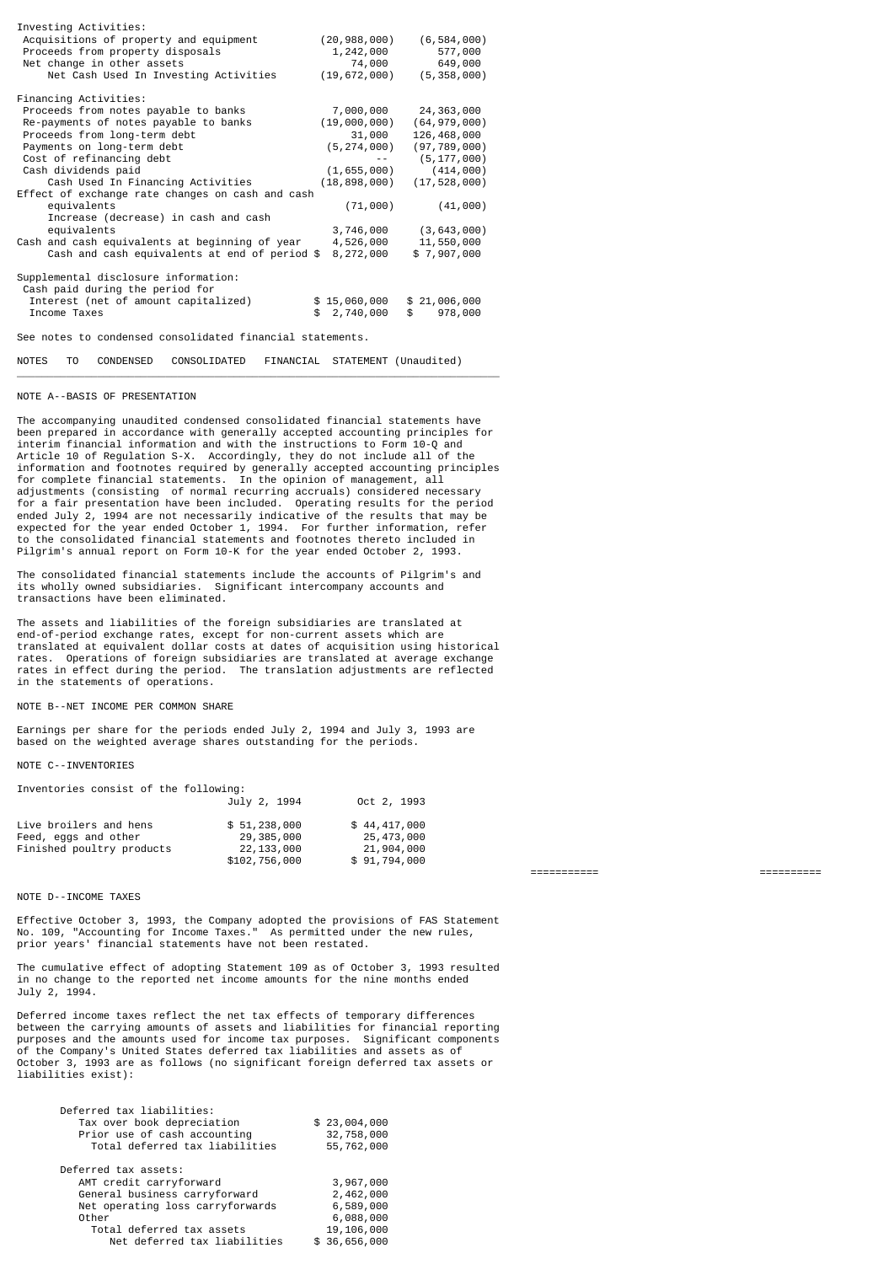| Investing Activities:                                                   |     |                |            |                |  |
|-------------------------------------------------------------------------|-----|----------------|------------|----------------|--|
| Acquisitions of property and equipment                                  |     | (20, 988, 000) |            | (6, 584, 000)  |  |
| Proceeds from property disposals                                        |     | 1,242,000      |            | 577,000        |  |
| Net change in other assets                                              |     | 74,000         |            | 649,000        |  |
| Net Cash Used In Investing Activities                                   |     | (19, 672, 000) |            | (5, 358, 000)  |  |
| Financing Activities:                                                   |     |                |            |                |  |
| Proceeds from notes payable to banks                                    |     | 7,000,000      |            | 24,363,000     |  |
| Re-payments of notes payable to banks                                   |     | (19,000,000)   |            | (64, 979, 000) |  |
| Proceeds from long-term debt                                            |     | 31,000         |            | 126,468,000    |  |
| Payments on long-term debt                                              |     | (5, 274, 000)  |            | (97, 789, 000) |  |
| Cost of refinancing debt                                                |     |                |            | (5, 177, 000)  |  |
| Cash dividends paid                                                     |     | (1,655,000)    |            | (414,000)      |  |
| Cash Used In Financing Activities                                       |     | (18, 898, 000) |            | (17, 528, 000) |  |
| Effect of exchange rate changes on cash and cash                        |     |                |            |                |  |
| equivalents                                                             |     | (71,000)       |            | (41,000)       |  |
| Increase (decrease) in cash and cash                                    |     |                |            |                |  |
| equivalents                                                             |     | 3,746,000      |            | (3, 643, 000)  |  |
| Cash and cash equivalents at beginning of year                          |     | 4,526,000      |            | 11,550,000     |  |
| Cash and cash equivalents at end of period \$                           |     | 8,272,000      |            | \$7,907,000    |  |
| Supplemental disclosure information:<br>Cash paid during the period for |     |                |            |                |  |
| Interest (net of amount capitalized)                                    |     | \$15,060,000   |            | \$21,006,000   |  |
| Income Taxes                                                            | \$. | 2,740,000      | $^{\circ}$ | 978,000        |  |
| See notes to condensed consolidated financial statements.               |     |                |            |                |  |

NOTES TO CONDENSED CONSOLIDATED FINANCIAL STATEMENT (Unaudited)

### NOTE A--BASIS OF PRESENTATION

The accompanying unaudited condensed consolidated financial statements have been prepared in accordance with generally accepted accounting principles for interim financial information and with the instructions to Form 10-Q and Article 10 of Regulation S-X. Accordingly, they do not include all of the information and footnotes required by generally accepted accounting principles for complete financial statements. In the opinion of management, all adjustments (consisting of normal recurring accruals) considered necessary for a fair presentation have been included. Operating results for the period ended July 2, 1994 are not necessarily indicative of the results that may be<br>expected for the year ended October 1, 1994. For further information, refer<br>to the consolidated financial statements and footnotes thereto inclu Pilgrim's annual report on Form 10-K for the year ended October 2, 1993.

\_\_\_\_\_\_\_\_\_\_\_\_\_\_\_\_\_\_\_\_\_\_\_\_\_\_\_\_\_\_\_\_\_\_\_\_\_\_\_\_\_\_\_\_\_\_\_\_\_\_\_\_\_\_\_\_\_\_\_\_\_\_\_\_\_\_\_\_\_\_\_\_\_\_\_\_\_\_

The consolidated financial statements include the accounts of Pilgrim's and its wholly owned subsidiaries. Significant intercompany accounts and transactions have been eliminated.

The assets and liabilities of the foreign subsidiaries are translated at end-of-period exchange rates, except for non-current assets which are translated at equivalent dollar costs at dates of acquisition using historical<br>rates. Operations of foreign subsidiaries are translated at average exchange<br>rates in effect during the period. The translation adjustments a in the statements of operations.

#### NOTE B--NET INCOME PER COMMON SHARE

Earnings per share for the periods ended July 2, 1994 and July 3, 1993 are based on the weighted average shares outstanding for the periods.

#### NOTE C--INVENTORIES

| Inventories consist of the following:                                       |                                            |                              |  |  |  |
|-----------------------------------------------------------------------------|--------------------------------------------|------------------------------|--|--|--|
|                                                                             | July 2, 1994                               | Oct 2, 1993                  |  |  |  |
| Live broilers and hens<br>Feed, eggs and other<br>Finished poultry products | \$51,238,000<br>29,385,000<br>22, 133, 000 | \$44,417,000<br>25, 473, 000 |  |  |  |
|                                                                             | \$102,756,000                              | 21,904,000<br>\$91,794,000   |  |  |  |

#### NOTE D--INCOME TAXES

Effective October 3, 1993, the Company adopted the provisions of FAS Statement No. 109, "Accounting for Income Taxes." As permitted under the new rules, prior years' financial statements have not been restated.

The cumulative effect of adopting Statement 109 as of October 3, 1993 resulted in no change to the reported net income amounts for the nine months ended July 2, 1994.

Deferred income taxes reflect the net tax effects of temporary differences between the carrying amounts of assets and liabilities for financial reporting purposes and the amounts used for income tax purposes. Significant components of the Company's United States deferred tax liabilities and assets as of October 3, 1993 are as follows (no significant foreign deferred tax assets or liabilities exist):

| Deferred tax liabilities:<br>Tax over book depreciation<br>Prior use of cash accounting<br>Total deferred tax liabilities | \$23,004,000<br>32,758,000<br>55,762,000 |
|---------------------------------------------------------------------------------------------------------------------------|------------------------------------------|
| Deferred tax assets:                                                                                                      |                                          |
| AMT credit carryforward                                                                                                   | 3,967,000                                |
| General business carryforward                                                                                             | 2,462,000                                |
| Net operating loss carryforwards                                                                                          | 6,589,000                                |
| Other                                                                                                                     | 6,088,000                                |
| Total deferred tax assets                                                                                                 | 19,106,000                               |
| Net deferred tax liabilities                                                                                              | \$36,656,000                             |

=========== ==========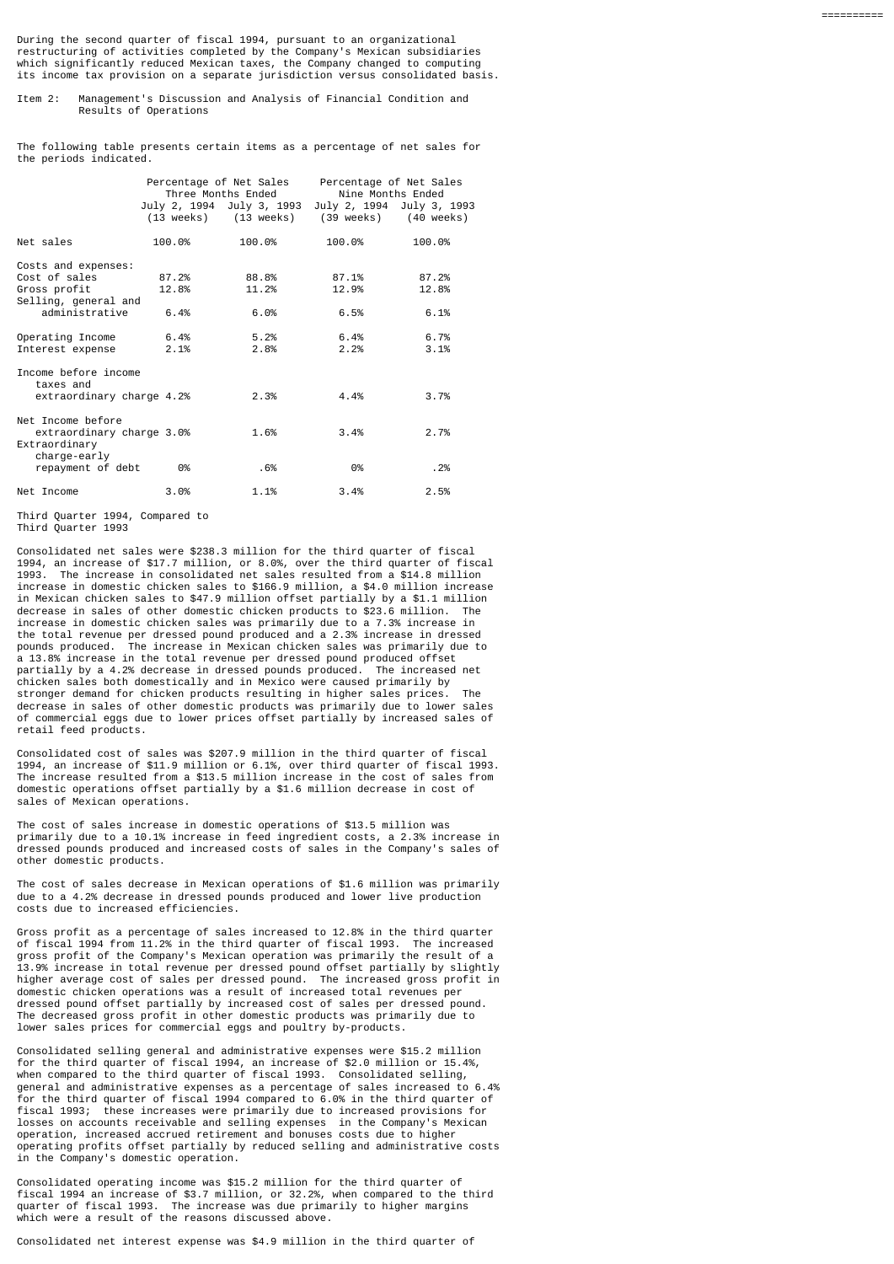During the second quarter of fiscal 1994, pursuant to an organizational restructuring of activities completed by the Company's Mexican subsidiaries which significantly reduced Mexican taxes, the Company changed to computing its income tax provision on a separate jurisdiction versus consolidated basis.

#### Item 2: Management's Discussion and Analysis of Financial Condition and Results of Operations

The following table presents certain items as a percentage of net sales for the periods indicated.

|                                            | Percentage of Net Sales<br>Three Months Ended<br>July 2, 1994 July 3, 1993 |                       | Percentage of Net Sales<br>Nine Months Ended |                                                    |
|--------------------------------------------|----------------------------------------------------------------------------|-----------------------|----------------------------------------------|----------------------------------------------------|
|                                            |                                                                            | (13 weeks) (13 weeks) |                                              | July 2, 1994 July 3, 1993<br>(39 weeks) (40 weeks) |
| Net sales                                  | 100.0%                                                                     | 100.0%                | 100.0%                                       | 100.0%                                             |
| Costs and expenses:                        |                                                                            |                       |                                              |                                                    |
| Cost of sales                              | 87.2%                                                                      | 88.8%                 | 87.1%                                        | 87.2%                                              |
| Gross profit<br>Selling, general and       | 12.8%                                                                      | 11.2%                 | 12.9%                                        | 12.8%                                              |
| administrative                             | 6.4%                                                                       | 6.0%                  | 6.5%                                         | 6.1%                                               |
| Operating Income                           | 6.4%                                                                       | 5.2%                  | 6.4%                                         | 6.7%                                               |
| Interest expense                           | 2.1%                                                                       | 2.8%                  | 2.2%                                         | 3.1%                                               |
| Income before income<br>taxes and          |                                                                            |                       |                                              |                                                    |
| extraordinary charge 4.2%                  |                                                                            | 2.3%                  | 4.4%                                         | 3.7%                                               |
| Net Income before                          |                                                                            |                       |                                              |                                                    |
| extraordinary charge 3.0%<br>Extraordinary |                                                                            | 1.6%                  | 3.4%                                         | 2.7%                                               |
| charge-early<br>repayment of debt          | 0%                                                                         | .6%                   | 0%                                           | .2%                                                |
| Net Income                                 | 3.0%                                                                       | 1.1%                  | 3.4%                                         | 2.5%                                               |

 Third Quarter 1994, Compared to Third Quarter 1993

Consolidated net sales were \$238.3 million for the third quarter of fiscal 1994, an increase of \$17.7 million, or 8.0%, over the third quarter of fiscal 1993. The increase in consolidated net sales resulted from a \$14.8 million increase in domestic chicken sales to \$166.9 million, a \$4.0 million increase in Mexican chicken sales to \$47.9 million offset partially by a \$1.1 million decrease in sales of other domestic chicken products to \$23.6 million. The increase in domestic chicken sales was primarily due to a 7.3% increase in the total revenue per dressed pound produced and a 2.3% increase in dressed pounds produced. The increase in Mexican chicken sales was primarily due to a 13.8% increase in the total revenue per dressed pound produced offset<br>nartially by a 4.2% decrease in dressed pounds produced. The increased per partially by a 4.2% decrease in dressed pounds produced. chicken sales both domestically and in Mexico were caused primarily by stronger demand for chicken products resulting in higher sales prices. The decrease in sales of other domestic products was primarily due to lower sales of commercial eggs due to lower prices offset partially by increased sales of retail feed products.

Consolidated cost of sales was \$207.9 million in the third quarter of fiscal 1994, an increase of \$11.9 million or 6.1%, over third quarter of fiscal 1993. The increase resulted from a \$13.5 million increase in the cost of sales from domestic operations offset partially by a \$1.6 million decrease in cost of sales of Mexican operations.

The cost of sales increase in domestic operations of \$13.5 million was primarily due to a 10.1% increase in feed ingredient costs, a 2.3% increase in dressed pounds produced and increased costs of sales in the Company's sales of other domestic products.

The cost of sales decrease in Mexican operations of \$1.6 million was primarily due to a 4.2% decrease in dressed pounds produced and lower live production costs due to increased efficiencies.

Gross profit as a percentage of sales increased to 12.8% in the third quarter of fiscal 1994 from 11.2% in the third quarter of fiscal 1993. The increased gross profit of the Company's Mexican operation was primarily the result of a 13.9% increase in total revenue per dressed pound offset partially by slightly higher average cost of sales per dressed pound. The increased gross profit in domestic chicken operations was a result of increased total revenues per dressed pound offset partially by increased cost of sales per dressed pound. The decreased gross profit in other domestic products was primarily due to lower sales prices for commercial eggs and poultry by-products.

Consolidated selling general and administrative expenses were \$15.2 million for the third quarter of fiscal 1994, an increase of \$2.0 million or 15.4%, when compared to the third quarter of fiscal 1993. Consolidated selling, general and administrative expenses as a percentage of sales increased to 6.4% for the third quarter of fiscal 1994 compared to  $6.0\%$  in the third quarter of fiscal 1993; these increases were primarily due to increased provisions for losses on accounts receivable and selling expenses in the Company's Mexican operation, increased accrued retirement and bonuses costs due to higher operating profits offset partially by reduced selling and administrative costs in the Company's domestic operation.

Consolidated operating income was \$15.2 million for the third quarter of fiscal 1994 an increase of \$3.7 million, or 32.2%, when compared to the third The increase was due primarily to higher margins which were a result of the reasons discussed above.

Consolidated net interest expense was \$4.9 million in the third quarter of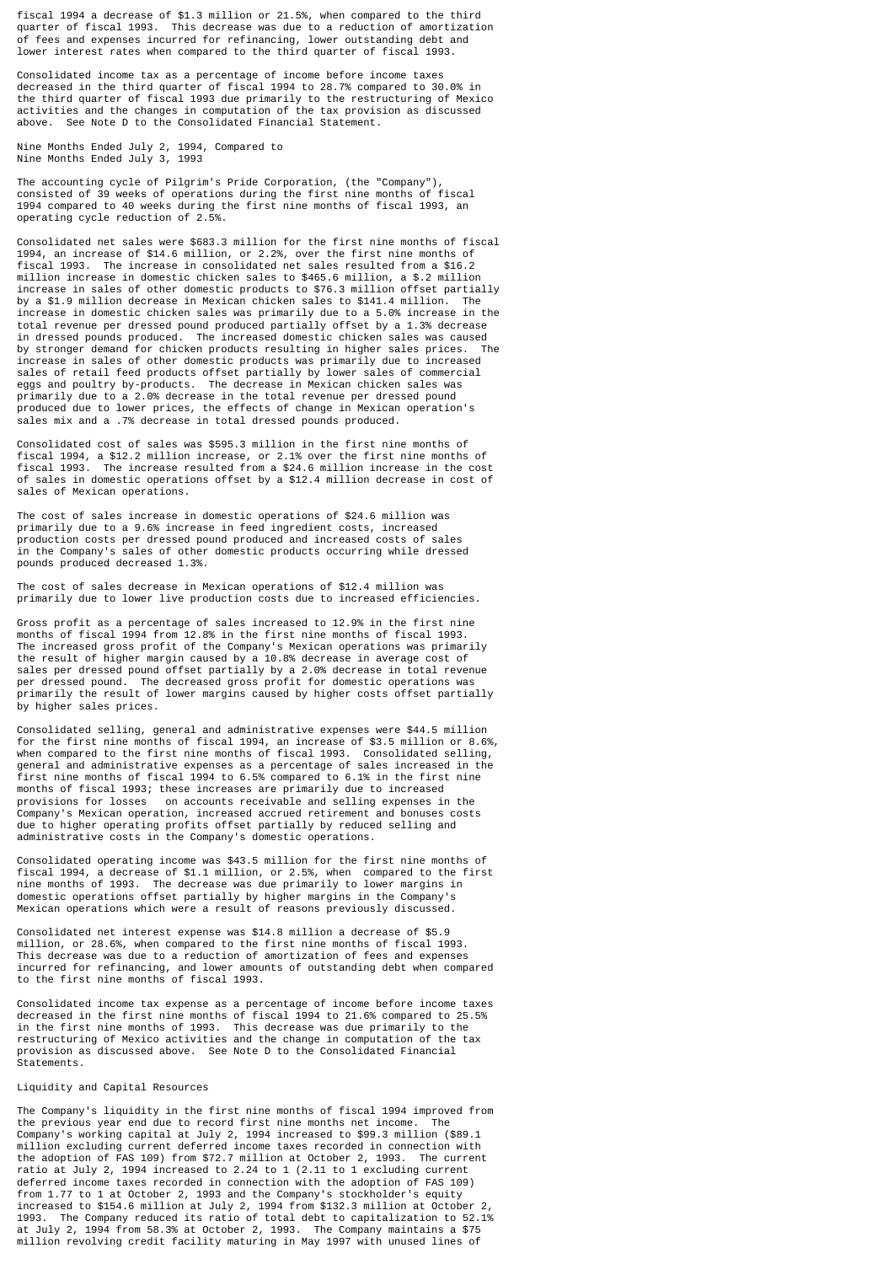fiscal 1994 a decrease of \$1.3 million or 21.5%, when compared to the third quarter of fiscal 1993. This decrease was due to a reduction of amortization of fees and expenses incurred for refinancing, lower outstanding debt and lower interest rates when compared to the third quarter of fiscal 1993.

Consolidated income tax as a percentage of income before income taxes decreased in the third quarter of fiscal 1994 to 28.7% compared to 30.0% in the third quarter of fiscal 1993 due primarily to the restructuring of Mexico activities and the changes in computation of the tax provision as discussed above. See Note D to the Consolidated Financial Statement.

Nine Months Ended July 2, 1994, Compared to Nine Months Ended July 3, 1993

The accounting cycle of Pilgrim's Pride Corporation, (the "Company"), consisted of 39 weeks of operations during the first nine months of fiscal 1994 compared to 40 weeks during the first nine months of fiscal 1993, an operating cycle reduction of 2.5%.

Consolidated net sales were \$683.3 million for the first nine months of fiscal 1994, an increase of \$14.6 million, or 2.2%, over the first nine months of fiscal 1993. The increase in consolidated net sales resulted from a \$16.2 million increase in domestic chicken sales to \$465.6 million, a \$.2 million increase in sales of other domestic products to \$76.3 million offset partially by a \$1.9 million decrease in Mexican chicken sales to \$141.4 million. The increase in domestic chicken sales was primarily due to a 5.0% increase in the total revenue per dressed pound produced partially offset by a 1.3% decrease in dressed pounds produced. The increased domestic chicken sales was caused by stronger demand for chicken products resulting in higher sales prices. The increase in sales of other domestic products was primarily due to increased<br>sales of retail feed products offset partially by lower sales of commercial<br>eggs and poultry by-products. The decrease in Mexican chicken sales wa produced due to lower prices, the effects of change in Mexican operation's sales mix and a .7% decrease in total dressed pounds produced.

Consolidated cost of sales was \$595.3 million in the first nine months of fiscal 1994, a \$12.2 million increase, or 2.1% over the first nine months of fiscal 1993. The increase resulted from a \$24.6 million increase in the cost of sales in domestic operations offset by a \$12.4 million decrease in cost of sales of Mexican operations.

The cost of sales increase in domestic operations of \$24.6 million was primarily due to a 9.6% increase in feed ingredient costs, increased<br>production costs per dressed pound produced and increased costs of sales production costs per dressed pound produced and increased costs of in the Company's sales of other domestic products occurring while dressed pounds produced decreased 1.3%.

The cost of sales decrease in Mexican operations of \$12.4 million was primarily due to lower live production costs due to increased efficiencies.

Gross profit as a percentage of sales increased to 12.9% in the first nine months of fiscal 1994 from 12.8% in the first nine months of fiscal 1993. The increased gross profit of the Company's Mexican operations was primarily the result of higher margin caused by a 10.8% decrease in average cost of sales per dressed pound offset partially by a 2.0% decrease in total revenue per dressed pound. The decreased gross profit for domestic operations was primarily the result of lower margins caused by higher costs offset partially by higher sales prices.

Consolidated selling, general and administrative expenses were \$44.5 million<br>for the first nine months of fiscal 1994, an increase of \$3.5 million or 8.6%,<br>when compared to the first nine months of fiscal 1993. Consolidate first nine months of fiscal 1994 to 6.5% compared to 6.1% in the first nine months of fiscal 1993; these increases are primarily due to increased provisions for losses on accounts receivable and selling expenses in the Company's Mexican operation, increased accrued retirement and bonuses costs due to higher operating profits offset partially by reduced selling and administrative costs in the Company's domestic operations.

Consolidated operating income was \$43.5 million for the first nine months of fiscal 1994, a decrease of \$1.1 million, or 2.5%, when compared to the first nine months of 1993. The decrease was due primarily to lower margins in domestic operations offset partially by higher margins in the Company's Mexican operations which were a result of reasons previously discussed.

Consolidated net interest expense was \$14.8 million a decrease of \$5.9 million, or 28.6%, when compared to the first nine months of fiscal 1993. This decrease was due to a reduction of amortization of fees and expenses incurred for refinancing, and lower amounts of outstanding debt when compared to the first nine months of fiscal 1993.

Consolidated income tax expense as a percentage of income before income taxes decreased in the first nine months of fiscal 1994 to 21.6% compared to 25.5% in the first nine months of 1993. This decrease was due primarily to the restructuring of Mexico activities and the change in computation of the tax provision as discussed above. See Note D to the Consolidated Financial Statements.

## Liquidity and Capital Resources

The Company's liquidity in the first nine months of fiscal 1994 improved from the previous year end due to record first nine months net income. The Company's working capital at July 2, 1994 increased to \$99.3 million (\$89.1 million excluding current deferred income taxes recorded in connection with the adoption of FAS 109) from \$72.7 million at October 2, 1993. The current ratio at July 2, 1994 increased to 2.24 to 1 (2.11 to 1 excluding current<br>deferred income taxes recorded in connection with the adoption of FAS 109)<br>from 1.77 to 1 at October 2, 1993 and the Company's stockholder's equity<br> at July 2, 1994 from 58.3% at October 2, 1993. The Company maintains a \$75 million revolving credit facility maturing in May 1997 with unused lines of